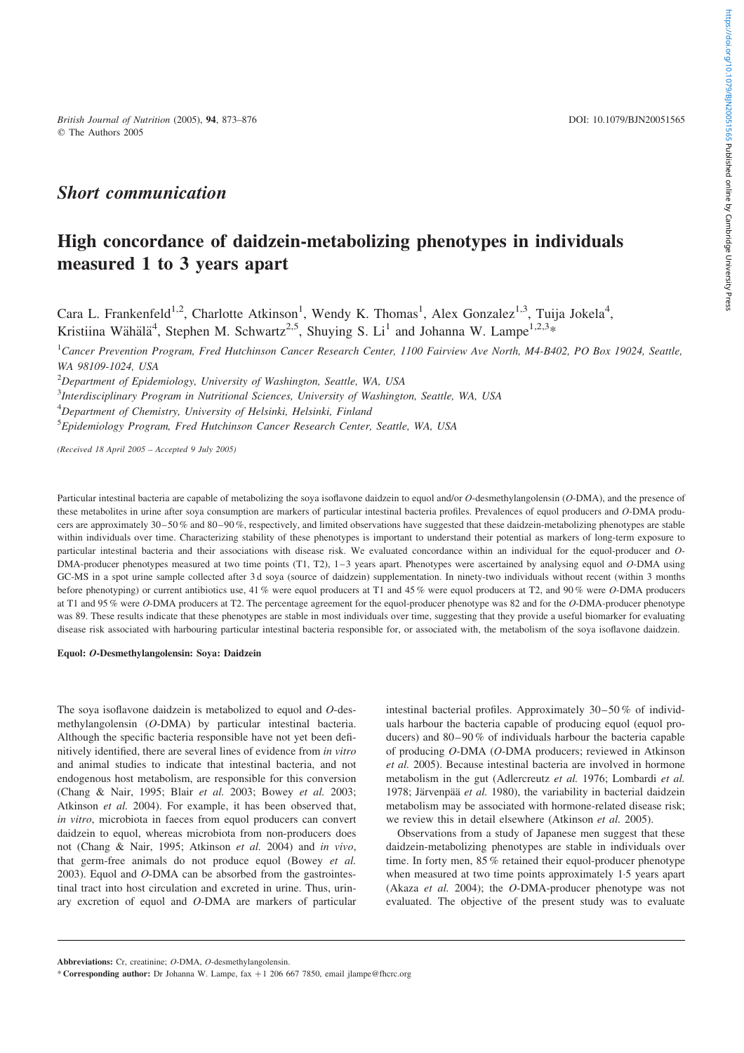# Short communication

# High concordance of daidzein-metabolizing phenotypes in individuals measured 1 to 3 years apart

Cara L. Frankenfeld<sup>1,2</sup>, Charlotte Atkinson<sup>1</sup>, Wendy K. Thomas<sup>1</sup>, Alex Gonzalez<sup>1,3</sup>, Tuija Jokela<sup>4</sup>, Kristiina Wähälä<sup>4</sup>, Stephen M. Schwartz<sup>2,5</sup>, Shuying S. Li<sup>1</sup> and Johanna W. Lampe<sup>1,2,3</sup>\*

<sup>1</sup>Cancer Prevention Program, Fred Hutchinson Cancer Research Center, 1100 Fairview Ave North, M4-B402, PO Box 19024, Seattle, WA 98109-1024, USA

 $^{2}$ Department of Epidemiology, University of Washington, Seattle, WA, USA

<sup>3</sup>Interdisciplinary Program in Nutritional Sciences, University of Washington, Seattle, WA, USA

<sup>4</sup>Department of Chemistry, University of Helsinki, Helsinki, Finland

<sup>5</sup> Epidemiology Program, Fred Hutchinson Cancer Research Center, Seattle, WA, USA

(Received 18 April 2005 – Accepted 9 July 2005)

Particular intestinal bacteria are capable of metabolizing the soya isoflavone daidzein to equol and/or O-desmethylangolensin (O-DMA), and the presence of these metabolites in urine after soya consumption are markers of particular intestinal bacteria profiles. Prevalences of equol producers and O-DMA producers are approximately 30–50 % and 80–90 %, respectively, and limited observations have suggested that these daidzein-metabolizing phenotypes are stable within individuals over time. Characterizing stability of these phenotypes is important to understand their potential as markers of long-term exposure to particular intestinal bacteria and their associations with disease risk. We evaluated concordance within an individual for the equol-producer and O-DMA-producer phenotypes measured at two time points (T1, T2), 1–3 years apart. Phenotypes were ascertained by analysing equol and O-DMA using GC-MS in a spot urine sample collected after 3 d soya (source of daidzein) supplementation. In ninety-two individuals without recent (within 3 months before phenotyping) or current antibiotics use, 41 % were equol producers at T1 and 45 % were equol producers at T2, and 90 % were O-DMA producers at T1 and 95 % were O-DMA producers at T2. The percentage agreement for the equol-producer phenotype was 82 and for the O-DMA-producer phenotype was 89. These results indicate that these phenotypes are stable in most individuals over time, suggesting that they provide a useful biomarker for evaluating disease risk associated with harbouring particular intestinal bacteria responsible for, or associated with, the metabolism of the soya isoflavone daidzein.

#### Equol: O-Desmethylangolensin: Soya: Daidzein

The soya isoflavone daidzein is metabolized to equol and O-desmethylangolensin (O-DMA) by particular intestinal bacteria. Although the specific bacteria responsible have not yet been definitively identified, there are several lines of evidence from in vitro and animal studies to indicate that intestinal bacteria, and not endogenous host metabolism, are responsible for this conversion (Chang & Nair, 1995; Blair et al. 2003; Bowey et al. 2003; Atkinson et al. 2004). For example, it has been observed that, in vitro, microbiota in faeces from equol producers can convert daidzein to equol, whereas microbiota from non-producers does not (Chang & Nair, 1995; Atkinson et al. 2004) and in vivo, that germ-free animals do not produce equol (Bowey et al. 2003). Equol and  $O-DMA$  can be absorbed from the gastrointestinal tract into host circulation and excreted in urine. Thus, urinary excretion of equol and O-DMA are markers of particular intestinal bacterial profiles. Approximately 30–50 % of individuals harbour the bacteria capable of producing equol (equol producers) and 80–90 % of individuals harbour the bacteria capable of producing O-DMA (O-DMA producers; reviewed in Atkinson et al. 2005). Because intestinal bacteria are involved in hormone metabolism in the gut (Adlercreutz et al. 1976; Lombardi et al. 1978; Järvenpää et al. 1980), the variability in bacterial daidzein metabolism may be associated with hormone-related disease risk; we review this in detail elsewhere (Atkinson et al. 2005).

Observations from a study of Japanese men suggest that these daidzein-metabolizing phenotypes are stable in individuals over time. In forty men, 85 % retained their equol-producer phenotype when measured at two time points approximately 1.5 years apart (Akaza et al. 2004); the O-DMA-producer phenotype was not evaluated. The objective of the present study was to evaluate

Abbreviations: Cr, creatinine; O-DMA, O-desmethylangolensin.

<sup>\*</sup> Corresponding author: Dr Johanna W. Lampe, fax þ1 206 667 7850, email jlampe@fhcrc.org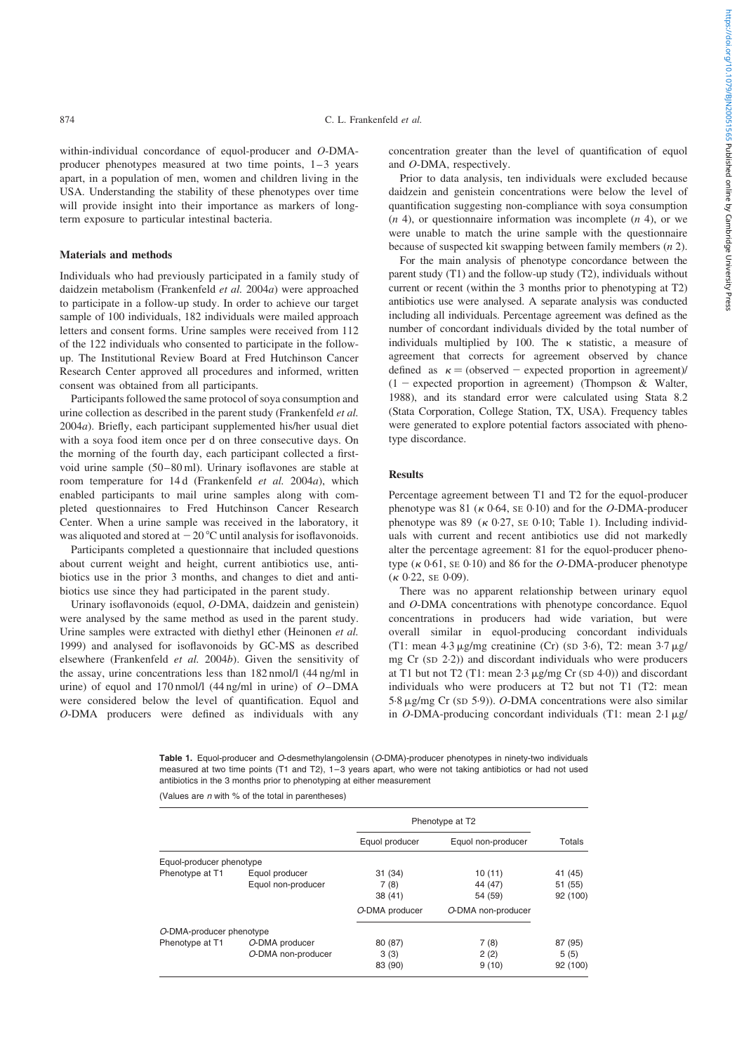within-individual concordance of equol-producer and O-DMAproducer phenotypes measured at two time points, 1–3 years apart, in a population of men, women and children living in the USA. Understanding the stability of these phenotypes over time will provide insight into their importance as markers of longterm exposure to particular intestinal bacteria.

### Materials and methods

Individuals who had previously participated in a family study of daidzein metabolism (Frankenfeld et al. 2004a) were approached to participate in a follow-up study. In order to achieve our target sample of 100 individuals, 182 individuals were mailed approach letters and consent forms. Urine samples were received from 112 of the 122 individuals who consented to participate in the followup. The Institutional Review Board at Fred Hutchinson Cancer Research Center approved all procedures and informed, written consent was obtained from all participants.

Participants followed the same protocol of soya consumption and urine collection as described in the parent study (Frankenfeld et al. 2004a). Briefly, each participant supplemented his/her usual diet with a soya food item once per d on three consecutive days. On the morning of the fourth day, each participant collected a firstvoid urine sample (50–80 ml). Urinary isoflavones are stable at room temperature for 14d (Frankenfeld et al. 2004a), which enabled participants to mail urine samples along with completed questionnaires to Fred Hutchinson Cancer Research Center. When a urine sample was received in the laboratory, it was aliquoted and stored at  $-20$  °C until analysis for isoflavonoids.

Participants completed a questionnaire that included questions about current weight and height, current antibiotics use, antibiotics use in the prior 3 months, and changes to diet and antibiotics use since they had participated in the parent study.

Urinary isoflavonoids (equol, O-DMA, daidzein and genistein) were analysed by the same method as used in the parent study. Urine samples were extracted with diethyl ether (Heinonen et al. 1999) and analysed for isoflavonoids by GC-MS as described elsewhere (Frankenfeld et al. 2004b). Given the sensitivity of the assay, urine concentrations less than 182 nmol/l (44 ng/ml in urine) of equol and 170 nmol/l  $(44 \text{ ng/ml}$  in urine) of  $O$ -DMA were considered below the level of quantification. Equol and O-DMA producers were defined as individuals with any concentration greater than the level of quantification of equol and O-DMA, respectively.

Prior to data analysis, ten individuals were excluded because daidzein and genistein concentrations were below the level of quantification suggesting non-compliance with soya consumption  $(n, 4)$ , or questionnaire information was incomplete  $(n, 4)$ , or we were unable to match the urine sample with the questionnaire because of suspected kit swapping between family members (n 2).

For the main analysis of phenotype concordance between the parent study (T1) and the follow-up study (T2), individuals without current or recent (within the 3 months prior to phenotyping at T2) antibiotics use were analysed. A separate analysis was conducted including all individuals. Percentage agreement was defined as the number of concordant individuals divided by the total number of individuals multiplied by 100. The  $\kappa$  statistic, a measure of agreement that corrects for agreement observed by chance defined as  $\kappa =$  (observed – expected proportion in agreement)/  $(1 - expected proportion in agreement)$  (Thompson & Walter, 1988), and its standard error were calculated using Stata 8.2 (Stata Corporation, College Station, TX, USA). Frequency tables were generated to explore potential factors associated with phenotype discordance.

# **Results**

Percentage agreement between T1 and T2 for the equol-producer phenotype was 81 ( $\kappa$  0.64, se 0.10) and for the *O*-DMA-producer phenotype was 89 ( $\kappa$  0.27, se 0.10; Table 1). Including individuals with current and recent antibiotics use did not markedly alter the percentage agreement: 81 for the equol-producer phenotype ( $\kappa$  0.61, se 0.10) and 86 for the *O*-DMA-producer phenotype  $(\kappa 0.22, \text{SE } 0.09).$ 

There was no apparent relationship between urinary equol and O-DMA concentrations with phenotype concordance. Equol concentrations in producers had wide variation, but were overall similar in equol-producing concordant individuals (T1: mean  $4.3 \mu$ g/mg creatinine (Cr) (SD  $3.6$ ), T2: mean  $3.7 \mu$ g/ mg Cr (SD 2·2)) and discordant individuals who were producers at T1 but not T2 (T1: mean  $2.3 \mu$ g/mg Cr (SD 4.0)) and discordant individuals who were producers at T2 but not T1 (T2: mean 5·8 mg/mg Cr (SD 5·9)). O-DMA concentrations were also similar in O-DMA-producing concordant individuals (T1: mean  $2.1 \mu g$ /

Table 1. Equol-producer and O-desmethylangolensin (O-DMA)-producer phenotypes in ninety-two individuals measured at two time points (T1 and T2), 1–3 years apart, who were not taking antibiotics or had not used antibiotics in the 3 months prior to phenotyping at either measurement

|  |  | (Values are $n$ with % of the total in parentheses) |
|--|--|-----------------------------------------------------|
|--|--|-----------------------------------------------------|

|                          |                    | Phenotype at T2 |                    |          |
|--------------------------|--------------------|-----------------|--------------------|----------|
|                          |                    | Equol producer  | Equol non-producer | Totals   |
| Equol-producer phenotype |                    |                 |                    |          |
| Phenotype at T1          | Equol producer     | 31(34)          | 10(11)             | 41 (45)  |
|                          | Equol non-producer | 7(8)            | 44 (47)            | 51 (55)  |
|                          |                    | 38(41)          | 54 (59)            | 92 (100) |
|                          |                    | O-DMA producer  | O-DMA non-producer |          |
| O-DMA-producer phenotype |                    |                 |                    |          |
| Phenotype at T1          | O-DMA producer     | 80 (87)         | 7(8)               | 87 (95)  |
|                          | O-DMA non-producer | 3(3)            | 2(2)               | 5(5)     |
|                          |                    | 83 (90)         | 9(10)              | 92 (100) |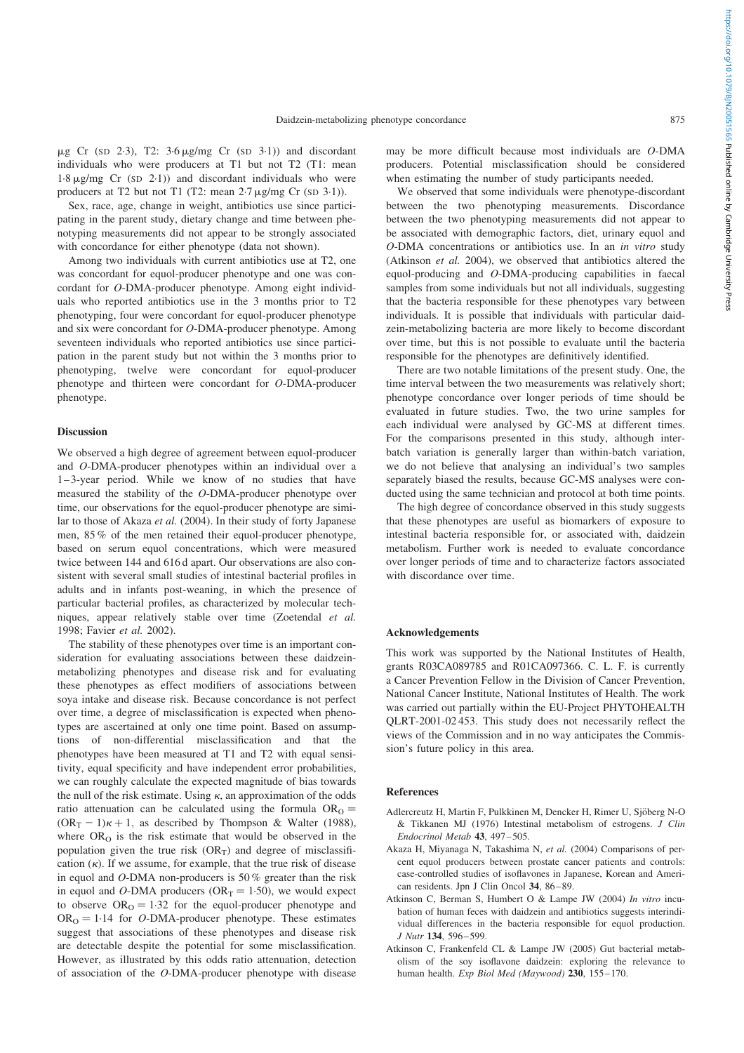$\mu$ g Cr (SD 2·3), T2: 3·6  $\mu$ g/mg Cr (SD 3·1)) and discordant individuals who were producers at T1 but not T2 (T1: mean  $1.8 \,\mu\text{g/mg}$  Cr (SD 2.1)) and discordant individuals who were producers at T2 but not T1 (T2: mean  $2.7 \mu$ g/mg Cr (SD 3.1)).

Sex, race, age, change in weight, antibiotics use since participating in the parent study, dietary change and time between phenotyping measurements did not appear to be strongly associated with concordance for either phenotype (data not shown).

Among two individuals with current antibiotics use at T2, one was concordant for equol-producer phenotype and one was concordant for O-DMA-producer phenotype. Among eight individuals who reported antibiotics use in the 3 months prior to T2 phenotyping, four were concordant for equol-producer phenotype and six were concordant for O-DMA-producer phenotype. Among seventeen individuals who reported antibiotics use since participation in the parent study but not within the 3 months prior to phenotyping, twelve were concordant for equol-producer phenotype and thirteen were concordant for O-DMA-producer phenotype.

## **Discussion**

We observed a high degree of agreement between equol-producer and O-DMA-producer phenotypes within an individual over a 1–3-year period. While we know of no studies that have measured the stability of the O-DMA-producer phenotype over time, our observations for the equol-producer phenotype are similar to those of Akaza et al. (2004). In their study of forty Japanese men, 85 % of the men retained their equol-producer phenotype, based on serum equol concentrations, which were measured twice between 144 and 616 d apart. Our observations are also consistent with several small studies of intestinal bacterial profiles in adults and in infants post-weaning, in which the presence of particular bacterial profiles, as characterized by molecular techniques, appear relatively stable over time (Zoetendal et al. 1998; Favier et al. 2002).

The stability of these phenotypes over time is an important consideration for evaluating associations between these daidzeinmetabolizing phenotypes and disease risk and for evaluating these phenotypes as effect modifiers of associations between soya intake and disease risk. Because concordance is not perfect over time, a degree of misclassification is expected when phenotypes are ascertained at only one time point. Based on assumptions of non-differential misclassification and that the phenotypes have been measured at T1 and T2 with equal sensitivity, equal specificity and have independent error probabilities, we can roughly calculate the expected magnitude of bias towards the null of the risk estimate. Using  $\kappa$ , an approximation of the odds ratio attenuation can be calculated using the formula  $OR_0 =$  $(OR_T - 1)\kappa + 1$ , as described by Thompson & Walter (1988), where  $OR<sub>O</sub>$  is the risk estimate that would be observed in the population given the true risk  $(OR_T)$  and degree of misclassification  $(\kappa)$ . If we assume, for example, that the true risk of disease in equol and O-DMA non-producers is 50 % greater than the risk in equol and O-DMA producers ( $OR_T = 1.50$ ), we would expect to observe  $OR<sub>O</sub> = 1.32$  for the equol-producer phenotype and  $OR<sub>O</sub> = 1.14$  for *O*-DMA-producer phenotype. These estimates suggest that associations of these phenotypes and disease risk are detectable despite the potential for some misclassification. However, as illustrated by this odds ratio attenuation, detection of association of the O-DMA-producer phenotype with disease

may be more difficult because most individuals are O-DMA producers. Potential misclassification should be considered when estimating the number of study participants needed.

We observed that some individuals were phenotype-discordant between the two phenotyping measurements. Discordance between the two phenotyping measurements did not appear to be associated with demographic factors, diet, urinary equol and O-DMA concentrations or antibiotics use. In an in vitro study (Atkinson et al. 2004), we observed that antibiotics altered the equol-producing and O-DMA-producing capabilities in faecal samples from some individuals but not all individuals, suggesting that the bacteria responsible for these phenotypes vary between individuals. It is possible that individuals with particular daidzein-metabolizing bacteria are more likely to become discordant over time, but this is not possible to evaluate until the bacteria responsible for the phenotypes are definitively identified.

There are two notable limitations of the present study. One, the time interval between the two measurements was relatively short; phenotype concordance over longer periods of time should be evaluated in future studies. Two, the two urine samples for each individual were analysed by GC-MS at different times. For the comparisons presented in this study, although interbatch variation is generally larger than within-batch variation, we do not believe that analysing an individual's two samples separately biased the results, because GC-MS analyses were conducted using the same technician and protocol at both time points.

The high degree of concordance observed in this study suggests that these phenotypes are useful as biomarkers of exposure to intestinal bacteria responsible for, or associated with, daidzein metabolism. Further work is needed to evaluate concordance over longer periods of time and to characterize factors associated with discordance over time.

#### Acknowledgements

This work was supported by the National Institutes of Health, grants R03CA089785 and R01CA097366. C. L. F. is currently a Cancer Prevention Fellow in the Division of Cancer Prevention, National Cancer Institute, National Institutes of Health. The work was carried out partially within the EU-Project PHYTOHEALTH QLRT-2001-02 453. This study does not necessarily reflect the views of the Commission and in no way anticipates the Commission's future policy in this area.

# References

- Adlercreutz H, Martin F, Pulkkinen M, Dencker H, Rimer U, Sjöberg N-O & Tikkanen MJ (1976) Intestinal metabolism of estrogens. J Clin Endocrinol Metab 43, 497–505.
- Akaza H, Miyanaga N, Takashima N, et al. (2004) Comparisons of percent equol producers between prostate cancer patients and controls: case-controlled studies of isoflavones in Japanese, Korean and American residents. Jpn J Clin Oncol 34, 86–89.
- Atkinson C, Berman S, Humbert O & Lampe JW (2004) In vitro incubation of human feces with daidzein and antibiotics suggests interindividual differences in the bacteria responsible for equol production. J Nutr 134, 596–599.
- Atkinson C, Frankenfeld CL & Lampe JW (2005) Gut bacterial metabolism of the soy isoflavone daidzein: exploring the relevance to human health. Exp Biol Med (Maywood) 230, 155–170.